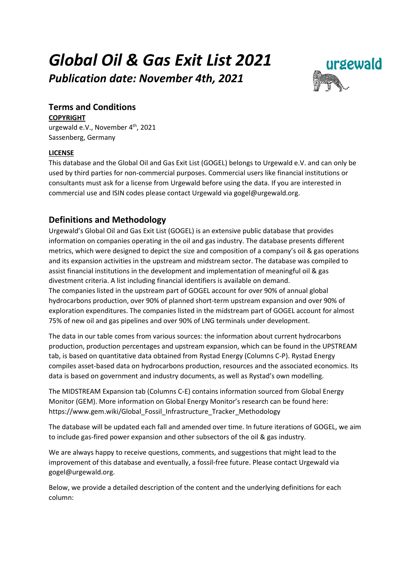# *Global Oil & Gas Exit List 2021*

*Publication date: November 4th, 2021* 



# **Terms and Conditions**

**COPYRIGHT**

urgewald e.V., November 4<sup>th</sup>, 2021 Sassenberg, Germany

# **LICENSE**

This database and the Global Oil and Gas Exit List (GOGEL) belongs to Urgewald e.V. and can only be used by third parties for non-commercial purposes. Commercial users like financial institutions or consultants must ask for a license from Urgewald before using the data. If you are interested in commercial use and ISIN codes please contact Urgewald via gogel@urgewald.org.

# **Definitions and Methodology**

Urgewald's Global Oil and Gas Exit List (GOGEL) is an extensive public database that provides information on companies operating in the oil and gas industry. The database presents different metrics, which were designed to depict the size and composition of a company's oil & gas operations and its expansion activities in the upstream and midstream sector. The database was compiled to assist financial institutions in the development and implementation of meaningful oil & gas divestment criteria. A list including financial identifiers is available on demand. The companies listed in the upstream part of GOGEL account for over 90% of annual global hydrocarbons production, over 90% of planned short-term upstream expansion and over 90% of exploration expenditures. The companies listed in the midstream part of GOGEL account for almost 75% of new oil and gas pipelines and over 90% of LNG terminals under development.

The data in our table comes from various sources: the information about current hydrocarbons production, production percentages and upstream expansion, which can be found in the UPSTREAM tab, is based on quantitative data obtained from Rystad Energy (Columns C-P). Rystad Energy compiles asset-based data on hydrocarbons production, resources and the associated economics. Its data is based on government and industry documents, as well as Rystad's own modelling.

The MIDSTREAM Expansion tab (Columns C-E) contains information sourced from Global Energy Monitor (GEM). More information on Global Energy Monitor's research can be found here: https://www.gem.wiki/Global\_Fossil\_Infrastructure\_Tracker\_Methodology

The database will be updated each fall and amended over time. In future iterations of GOGEL, we aim to include gas-fired power expansion and other subsectors of the oil & gas industry.

We are always happy to receive questions, comments, and suggestions that might lead to the improvement of this database and eventually, a fossil-free future. Please contact Urgewald via gogel@urgewald.org.

Below, we provide a detailed description of the content and the underlying definitions for each column: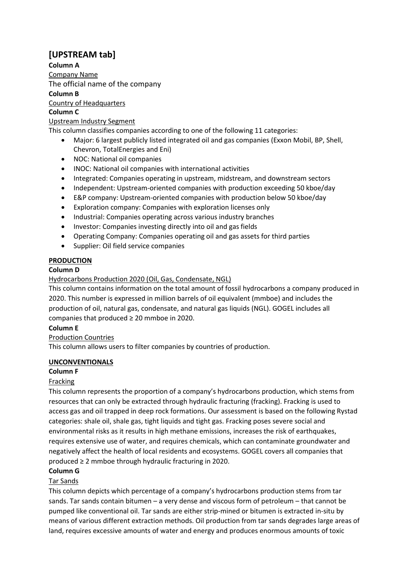# **[UPSTREAM tab]**

**Column A**

Company Name

The official name of the company

**Column B**

Country of Headquarters

#### **Column C**

Upstream Industry Segment

This column classifies companies according to one of the following 11 categories:

- Major: 6 largest publicly listed integrated oil and gas companies (Exxon Mobil, BP, Shell, Chevron, TotalEnergies and Eni)
- NOC: National oil companies
- INOC: National oil companies with international activities
- Integrated: Companies operating in upstream, midstream, and downstream sectors
- Independent: Upstream-oriented companies with production exceeding 50 kboe/day
- E&P company: Upstream-oriented companies with production below 50 kboe/day
- Exploration company: Companies with exploration licenses only
- Industrial: Companies operating across various industry branches
- Investor: Companies investing directly into oil and gas fields
- Operating Company: Companies operating oil and gas assets for third parties
- Supplier: Oil field service companies

## **PRODUCTION**

## **Column D**

Hydrocarbons Production 2020 (Oil, Gas, Condensate, NGL)

This column contains information on the total amount of fossil hydrocarbons a company produced in 2020. This number is expressed in million barrels of oil equivalent (mmboe) and includes the production of oil, natural gas, condensate, and natural gas liquids (NGL). GOGEL includes all companies that produced ≥ 20 mmboe in 2020.

## **Column E**

## Production Countries

This column allows users to filter companies by countries of production.

## **UNCONVENTIONALS**

## **Column F**

## Fracking

This column represents the proportion of a company's hydrocarbons production, which stems from resources that can only be extracted through hydraulic fracturing (fracking). Fracking is used to access gas and oil trapped in deep rock formations. Our assessment is based on the following Rystad categories: shale oil, shale gas, tight liquids and tight gas. Fracking poses severe social and environmental risks as it results in high methane emissions, increases the risk of earthquakes, requires extensive use of water, and requires chemicals, which can contaminate groundwater and negatively affect the health of local residents and ecosystems. GOGEL covers all companies that produced ≥ 2 mmboe through hydraulic fracturing in 2020.

## **Column G**

## Tar Sands

This column depicts which percentage of a company's hydrocarbons production stems from tar sands. Tar sands contain bitumen – a very dense and viscous form of petroleum – that cannot be pumped like conventional oil. Tar sands are either strip-mined or bitumen is extracted in-situ by means of various different extraction methods. Oil production from tar sands degrades large areas of land, requires excessive amounts of water and energy and produces enormous amounts of toxic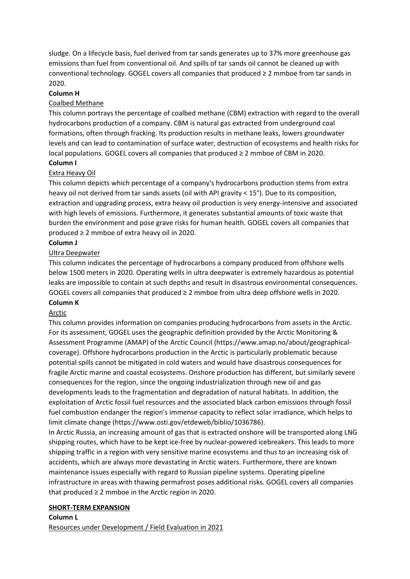sludge. On a lifecycle basis, fuel derived from tar sands generates up to 37% more greenhouse gas emissions than fuel from conventional oil. And spills of tar sands oil cannot be cleaned up with conventional technology. GOGEL covers all companies that produced ≥ 2 mmboe from tar sands in 2020.

#### **Column H**

#### Coalbed Methane

This column portrays the percentage of coalbed methane (CBM) extraction with regard to the overall hydrocarbons production of a company. CBM is natural gas extracted from underground coal formations, often through fracking. Its production results in methane leaks, lowers groundwater levels and can lead to contamination of surface water, destruction of ecosystems and health risks for local populations. GOGEL covers all companies that produced ≥ 2 mmboe of CBM in 2020.

# **Column I**

#### Extra Heavy Oil

This column depicts which percentage of a company's hydrocarbons production stems from extra heavy oil not derived from tar sands assets (oil with API gravity < 15°). Due to its composition, extraction and upgrading process, extra heavy oil production is very energy-intensive and associated with high levels of emissions. Furthermore, it generates substantial amounts of toxic waste that burden the environment and pose grave risks for human health. GOGEL covers all companies that produced ≥ 2 mmboe of extra heavy oil in 2020.

#### **Column J**

#### Ultra Deepwater

This column indicates the percentage of hydrocarbons a company produced from offshore wells below 1500 meters in 2020. Operating wells in ultra deepwater is extremely hazardous as potential leaks are impossible to contain at such depths and result in disastrous environmental consequences. GOGEL covers all companies that produced  $\geq 2$  mmboe from ultra deep offshore wells in 2020.

#### **Column K**

#### Arctic

This column provides information on companies producing hydrocarbons from assets in the Arctic. For its assessment, GOGEL uses the geographic definition provided by the Arctic Monitoring & Assessment Programme (AMAP) of the Arctic Council (https://www.amap.no/about/geographicalcoverage). Offshore hydrocarbons production in the Arctic is particularly problematic because potential spills cannot be mitigated in cold waters and would have disastrous consequences for fragile Arctic marine and coastal ecosystems. Onshore production has different, but similarly severe consequences for the region, since the ongoing industrialization through new oil and gas developments leads to the fragmentation and degradation of natural habitats. In addition, the exploitation of Arctic fossil fuel resources and the associated black carbon emissions through fossil fuel combustion endanger the region's immense capacity to reflect solar irradiance, which helps to limit climate change (https://www.osti.gov/etdeweb/biblio/1036786).

In Arctic Russia, an increasing amount of gas that is extracted onshore will be transported along LNG shipping routes, which have to be kept ice-free by nuclear-powered icebreakers. This leads to more shipping traffic in a region with very sensitive marine ecosystems and thus to an increasing risk of accidents, which are always more devastating in Arctic waters. Furthermore, there are known maintenance issues especially with regard to Russian pipeline systems. Operating pipeline infrastructure in areas with thawing permafrost poses additional risks. GOGEL covers all companies that produced ≥ 2 mmboe in the Arctic region in 2020.

#### **SHORT-TERM EXPANSION**

**Column L** Resources under Development / Field Evaluation in 2021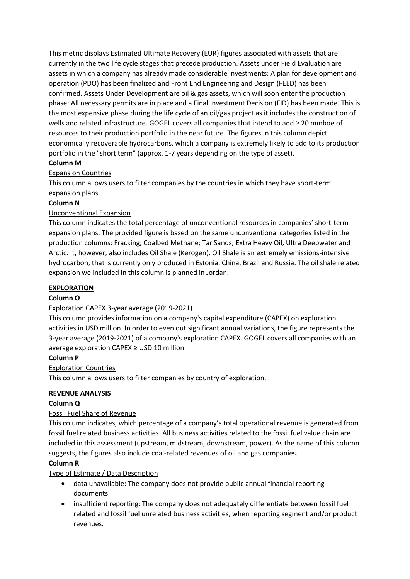This metric displays Estimated Ultimate Recovery (EUR) figures associated with assets that are currently in the two life cycle stages that precede production. Assets under Field Evaluation are assets in which a company has already made considerable investments: A plan for development and operation (PDO) has been finalized and Front End Engineering and Design (FEED) has been confirmed. Assets Under Development are oil & gas assets, which will soon enter the production phase: All necessary permits are in place and a Final Investment Decision (FID) has been made. This is the most expensive phase during the life cycle of an oil/gas project as it includes the construction of wells and related infrastructure. GOGEL covers all companies that intend to add ≥ 20 mmboe of resources to their production portfolio in the near future. The figures in this column depict economically recoverable hydrocarbons, which a company is extremely likely to add to its production portfolio in the "short term" (approx. 1-7 years depending on the type of asset).

# **Column M**

# Expansion Countries

This column allows users to filter companies by the countries in which they have short-term expansion plans.

# **Column N**

## Unconventional Expansion

This column indicates the total percentage of unconventional resources in companies' short-term expansion plans. The provided figure is based on the same unconventional categories listed in the production columns: Fracking; Coalbed Methane; Tar Sands; Extra Heavy Oil, Ultra Deepwater and Arctic. It, however, also includes Oil Shale (Kerogen). Oil Shale is an extremely emissions-intensive hydrocarbon, that is currently only produced in Estonia, China, Brazil and Russia. The oil shale related expansion we included in this column is planned in Jordan.

#### **EXPLORATION**

## **Column O**

## Exploration CAPEX 3-year average (2019-2021)

This column provides information on a company's capital expenditure (CAPEX) on exploration activities in USD million. In order to even out significant annual variations, the figure represents the 3-year average (2019-2021) of a company's exploration CAPEX. GOGEL covers all companies with an average exploration CAPEX ≥ USD 10 million.

## **Column P**

## Exploration Countries

This column allows users to filter companies by country of exploration.

## **REVENUE ANALYSIS**

## **Column Q**

## Fossil Fuel Share of Revenue

This column indicates, which percentage of a company's total operational revenue is generated from fossil fuel related business activities. All business activities related to the fossil fuel value chain are included in this assessment (upstream, midstream, downstream, power). As the name of this column suggests, the figures also include coal-related revenues of oil and gas companies.

## **Column R**

## Type of Estimate / Data Description

- data unavailable: The company does not provide public annual financial reporting documents.
- insufficient reporting: The company does not adequately differentiate between fossil fuel related and fossil fuel unrelated business activities, when reporting segment and/or product revenues.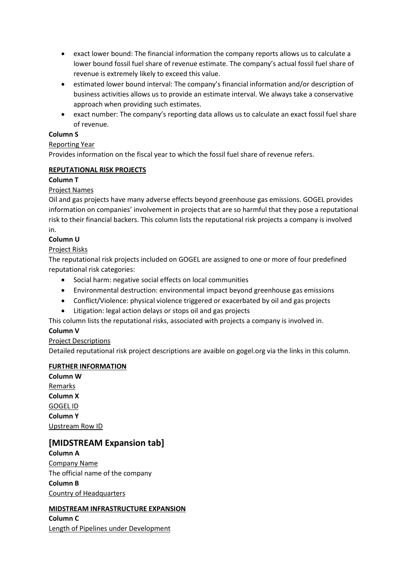- exact lower bound: The financial information the company reports allows us to calculate a lower bound fossil fuel share of revenue estimate. The company's actual fossil fuel share of revenue is extremely likely to exceed this value.
- estimated lower bound interval: The company's financial information and/or description of business activities allows us to provide an estimate interval. We always take a conservative approach when providing such estimates.
- exact number: The company's reporting data allows us to calculate an exact fossil fuel share of revenue.

## **Column S**

## Reporting Year

Provides information on the fiscal year to which the fossil fuel share of revenue refers.

#### **REPUTATIONAL RISK PROJECTS**

#### **Column T**

## Project Names

Oil and gas projects have many adverse effects beyond greenhouse gas emissions. GOGEL provides information on companies' involvement in projects that are so harmful that they pose a reputational risk to their financial backers. This column lists the reputational risk projects a company is involved in.

# **Column U**

## Project Risks

The reputational risk projects included on GOGEL are assigned to one or more of four predefined reputational risk categories:

- Social harm: negative social effects on local communities
- Environmental destruction: environmental impact beyond greenhouse gas emissions
- Conflict/Violence: physical violence triggered or exacerbated by oil and gas projects
- Litigation: legal action delays or stops oil and gas projects

This column lists the reputational risks, associated with projects a company is involved in.

## **Column V**

## Project Descriptions

Detailed reputational risk project descriptions are avaible on gogel.org via the links in this column.

## **FURTHER INFORMATION**

**Column W** Remarks **Column X** GOGEL ID **Column Y** Upstream Row ID

# **[MIDSTREAM Expansion tab]**

**Column A** Company Name The official name of the company **Column B** Country of Headquarters

## **MIDSTREAM INFRASTRUCTURE EXPANSION**

**Column C** Length of Pipelines under Development